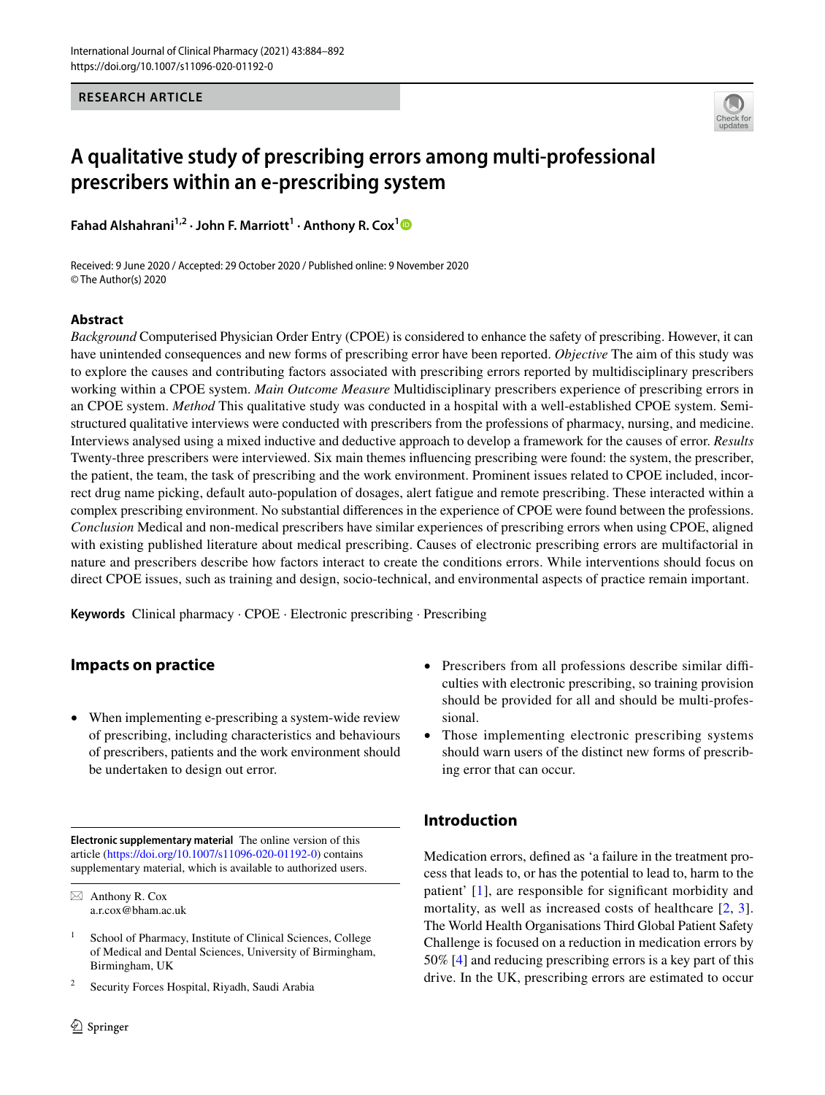**RESEARCH ARTICLE**



# **A qualitative study of prescribing errors among multi‑professional prescribers within an e‑prescribing system**

Fahad Alshahrani<sup>[1](http://orcid.org/0000-0003-2294-3440),2</sup> · John F. Marriott<sup>1</sup> · Anthony R. Cox<sup>1</sup>

Received: 9 June 2020 / Accepted: 29 October 2020 / Published online: 9 November 2020 © The Author(s) 2020

### **Abstract**

*Background* Computerised Physician Order Entry (CPOE) is considered to enhance the safety of prescribing. However, it can have unintended consequences and new forms of prescribing error have been reported. *Objective* The aim of this study was to explore the causes and contributing factors associated with prescribing errors reported by multidisciplinary prescribers working within a CPOE system. *Main Outcome Measure* Multidisciplinary prescribers experience of prescribing errors in an CPOE system. *Method* This qualitative study was conducted in a hospital with a well-established CPOE system. Semistructured qualitative interviews were conducted with prescribers from the professions of pharmacy, nursing, and medicine. Interviews analysed using a mixed inductive and deductive approach to develop a framework for the causes of error. *Results* Twenty-three prescribers were interviewed. Six main themes infuencing prescribing were found: the system, the prescriber, the patient, the team, the task of prescribing and the work environment. Prominent issues related to CPOE included, incorrect drug name picking, default auto-population of dosages, alert fatigue and remote prescribing. These interacted within a complex prescribing environment. No substantial diferences in the experience of CPOE were found between the professions. *Conclusion* Medical and non-medical prescribers have similar experiences of prescribing errors when using CPOE, aligned with existing published literature about medical prescribing. Causes of electronic prescribing errors are multifactorial in nature and prescribers describe how factors interact to create the conditions errors. While interventions should focus on direct CPOE issues, such as training and design, socio-technical, and environmental aspects of practice remain important.

**Keywords** Clinical pharmacy · CPOE · Electronic prescribing · Prescribing

# **Impacts on practice**

• When implementing e-prescribing a system-wide review of prescribing, including characteristics and behaviours of prescribers, patients and the work environment should be undertaken to design out error.

**Electronic supplementary material** The online version of this article [\(https://doi.org/10.1007/s11096-020-01192-0\)](https://doi.org/10.1007/s11096-020-01192-0) contains supplementary material, which is available to authorized users.

Security Forces Hospital, Riyadh, Saudi Arabia

- Prescribers from all professions describe similar difficulties with electronic prescribing, so training provision should be provided for all and should be multi-professional.
- Those implementing electronic prescribing systems should warn users of the distinct new forms of prescribing error that can occur.

# **Introduction**

Medication errors, defned as 'a failure in the treatment process that leads to, or has the potential to lead to, harm to the patient' [[1](#page-7-0)], are responsible for signifcant morbidity and mortality, as well as increased costs of healthcare [[2](#page-7-1), [3](#page-7-2)]. The World Health Organisations Third Global Patient Safety Challenge is focused on a reduction in medication errors by 50% [\[4](#page-7-3)] and reducing prescribing errors is a key part of this drive. In the UK, prescribing errors are estimated to occur

 $\boxtimes$  Anthony R. Cox a.r.cox@bham.ac.uk

<sup>&</sup>lt;sup>1</sup> School of Pharmacy, Institute of Clinical Sciences, College of Medical and Dental Sciences, University of Birmingham, Birmingham, UK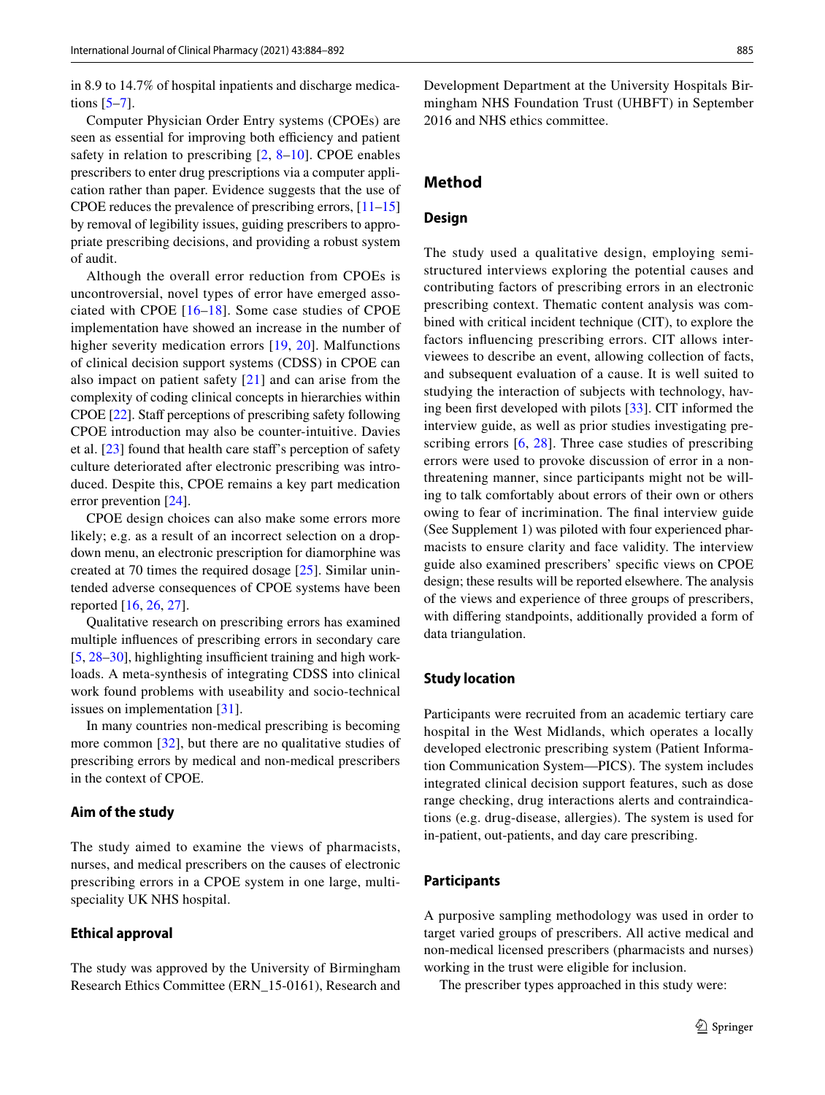in 8.9 to 14.7% of hospital inpatients and discharge medications [[5–](#page-7-4)[7\]](#page-7-5).

Computer Physician Order Entry systems (CPOEs) are seen as essential for improving both efficiency and patient safety in relation to prescribing  $[2, 8-10]$  $[2, 8-10]$  $[2, 8-10]$  $[2, 8-10]$  $[2, 8-10]$  $[2, 8-10]$ . CPOE enables prescribers to enter drug prescriptions via a computer application rather than paper. Evidence suggests that the use of CPOE reduces the prevalence of prescribing errors, [[11–](#page-7-8)[15\]](#page-7-9) by removal of legibility issues, guiding prescribers to appropriate prescribing decisions, and providing a robust system of audit.

Although the overall error reduction from CPOEs is uncontroversial, novel types of error have emerged associated with CPOE [[16](#page-7-10)[–18\]](#page-7-11). Some case studies of CPOE implementation have showed an increase in the number of higher severity medication errors [[19](#page-7-12), [20](#page-7-13)]. Malfunctions of clinical decision support systems (CDSS) in CPOE can also impact on patient safety [[21](#page-7-14)] and can arise from the complexity of coding clinical concepts in hierarchies within CPOE [[22\]](#page-7-15). Staff perceptions of prescribing safety following CPOE introduction may also be counter-intuitive. Davies et al. [\[23\]](#page-7-16) found that health care staf's perception of safety culture deteriorated after electronic prescribing was introduced. Despite this, CPOE remains a key part medication error prevention [[24](#page-7-17)].

CPOE design choices can also make some errors more likely; e.g. as a result of an incorrect selection on a dropdown menu, an electronic prescription for diamorphine was created at 70 times the required dosage [\[25\]](#page-7-18). Similar unintended adverse consequences of CPOE systems have been reported [[16,](#page-7-10) [26,](#page-8-0) [27](#page-8-1)].

Qualitative research on prescribing errors has examined multiple infuences of prescribing errors in secondary care  $[5, 28-30]$  $[5, 28-30]$  $[5, 28-30]$  $[5, 28-30]$ , highlighting insufficient training and high workloads. A meta-synthesis of integrating CDSS into clinical work found problems with useability and socio-technical issues on implementation [[31\]](#page-8-4).

In many countries non-medical prescribing is becoming more common [[32\]](#page-8-5), but there are no qualitative studies of prescribing errors by medical and non-medical prescribers in the context of CPOE.

#### **Aim of the study**

The study aimed to examine the views of pharmacists, nurses, and medical prescribers on the causes of electronic prescribing errors in a CPOE system in one large, multispeciality UK NHS hospital.

#### **Ethical approval**

The study was approved by the University of Birmingham Research Ethics Committee (ERN\_15-0161), Research and Development Department at the University Hospitals Birmingham NHS Foundation Trust (UHBFT) in September 2016 and NHS ethics committee.

# **Method**

# **Design**

The study used a qualitative design, employing semistructured interviews exploring the potential causes and contributing factors of prescribing errors in an electronic prescribing context. Thematic content analysis was combined with critical incident technique (CIT), to explore the factors infuencing prescribing errors. CIT allows interviewees to describe an event, allowing collection of facts, and subsequent evaluation of a cause. It is well suited to studying the interaction of subjects with technology, having been frst developed with pilots [[33\]](#page-8-6). CIT informed the interview guide, as well as prior studies investigating prescribing errors [\[6,](#page-7-19) [28\]](#page-8-2). Three case studies of prescribing errors were used to provoke discussion of error in a nonthreatening manner, since participants might not be willing to talk comfortably about errors of their own or others owing to fear of incrimination. The fnal interview guide (See Supplement 1) was piloted with four experienced pharmacists to ensure clarity and face validity. The interview guide also examined prescribers' specifc views on CPOE design; these results will be reported elsewhere. The analysis of the views and experience of three groups of prescribers, with difering standpoints, additionally provided a form of data triangulation.

#### **Study location**

Participants were recruited from an academic tertiary care hospital in the West Midlands, which operates a locally developed electronic prescribing system (Patient Information Communication System—PICS). The system includes integrated clinical decision support features, such as dose range checking, drug interactions alerts and contraindications (e.g. drug-disease, allergies). The system is used for in-patient, out-patients, and day care prescribing.

#### **Participants**

A purposive sampling methodology was used in order to target varied groups of prescribers. All active medical and non-medical licensed prescribers (pharmacists and nurses) working in the trust were eligible for inclusion.

The prescriber types approached in this study were: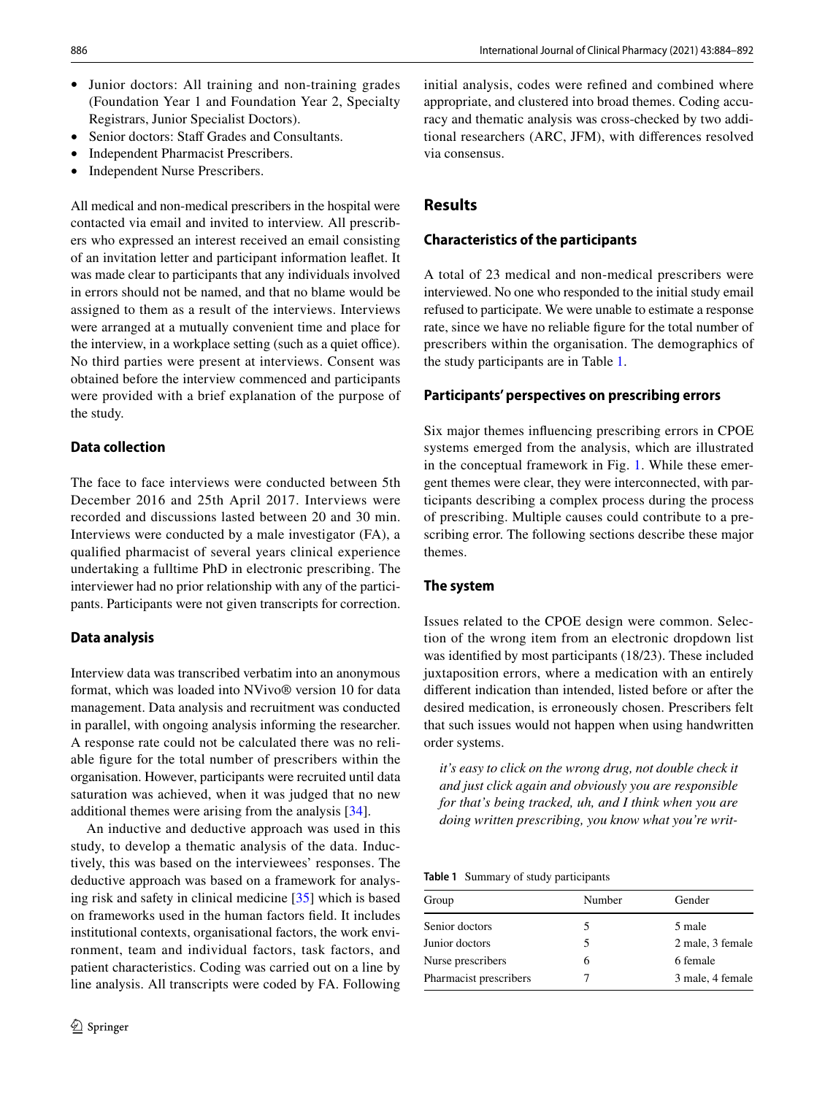- Junior doctors: All training and non-training grades (Foundation Year 1 and Foundation Year 2, Specialty Registrars, Junior Specialist Doctors).
- Senior doctors: Staff Grades and Consultants.
- Independent Pharmacist Prescribers.
- Independent Nurse Prescribers.

All medical and non-medical prescribers in the hospital were contacted via email and invited to interview. All prescribers who expressed an interest received an email consisting of an invitation letter and participant information leafet. It was made clear to participants that any individuals involved in errors should not be named, and that no blame would be assigned to them as a result of the interviews. Interviews were arranged at a mutually convenient time and place for the interview, in a workplace setting (such as a quiet office). No third parties were present at interviews. Consent was obtained before the interview commenced and participants were provided with a brief explanation of the purpose of the study.

# **Data collection**

The face to face interviews were conducted between 5th December 2016 and 25th April 2017. Interviews were recorded and discussions lasted between 20 and 30 min. Interviews were conducted by a male investigator (FA), a qualifed pharmacist of several years clinical experience undertaking a fulltime PhD in electronic prescribing. The interviewer had no prior relationship with any of the participants. Participants were not given transcripts for correction.

# **Data analysis**

Interview data was transcribed verbatim into an anonymous format, which was loaded into NVivo® version 10 for data management. Data analysis and recruitment was conducted in parallel, with ongoing analysis informing the researcher. A response rate could not be calculated there was no reliable fgure for the total number of prescribers within the organisation. However, participants were recruited until data saturation was achieved, when it was judged that no new additional themes were arising from the analysis [\[34](#page-8-7)].

An inductive and deductive approach was used in this study, to develop a thematic analysis of the data. Inductively, this was based on the interviewees' responses. The deductive approach was based on a framework for analysing risk and safety in clinical medicine [[35\]](#page-8-8) which is based on frameworks used in the human factors feld. It includes institutional contexts, organisational factors, the work environment, team and individual factors, task factors, and patient characteristics. Coding was carried out on a line by line analysis. All transcripts were coded by FA. Following

initial analysis, codes were refned and combined where appropriate, and clustered into broad themes. Coding accuracy and thematic analysis was cross-checked by two additional researchers (ARC, JFM), with diferences resolved via consensus.

# **Results**

# **Characteristics of the participants**

A total of 23 medical and non-medical prescribers were interviewed. No one who responded to the initial study email refused to participate. We were unable to estimate a response rate, since we have no reliable fgure for the total number of prescribers within the organisation. The demographics of the study participants are in Table [1](#page-2-0).

### **Participants' perspectives on prescribing errors**

Six major themes infuencing prescribing errors in CPOE systems emerged from the analysis, which are illustrated in the conceptual framework in Fig. [1.](#page-3-0) While these emergent themes were clear, they were interconnected, with participants describing a complex process during the process of prescribing. Multiple causes could contribute to a prescribing error. The following sections describe these major themes.

### **The system**

Issues related to the CPOE design were common. Selection of the wrong item from an electronic dropdown list was identifed by most participants (18/23). These included juxtaposition errors, where a medication with an entirely diferent indication than intended, listed before or after the desired medication, is erroneously chosen. Prescribers felt that such issues would not happen when using handwritten order systems.

*it's easy to click on the wrong drug, not double check it and just click again and obviously you are responsible for that's being tracked, uh, and I think when you are doing written prescribing, you know what you're writ-*

<span id="page-2-0"></span>

| <b>Table 1</b> Summary of study participants |
|----------------------------------------------|
|                                              |

| Group                  | Number | Gender           |
|------------------------|--------|------------------|
| Senior doctors         | 5      | 5 male           |
| Junior doctors         | 5      | 2 male, 3 female |
| Nurse prescribers      | 6      | 6 female         |
| Pharmacist prescribers |        | 3 male, 4 female |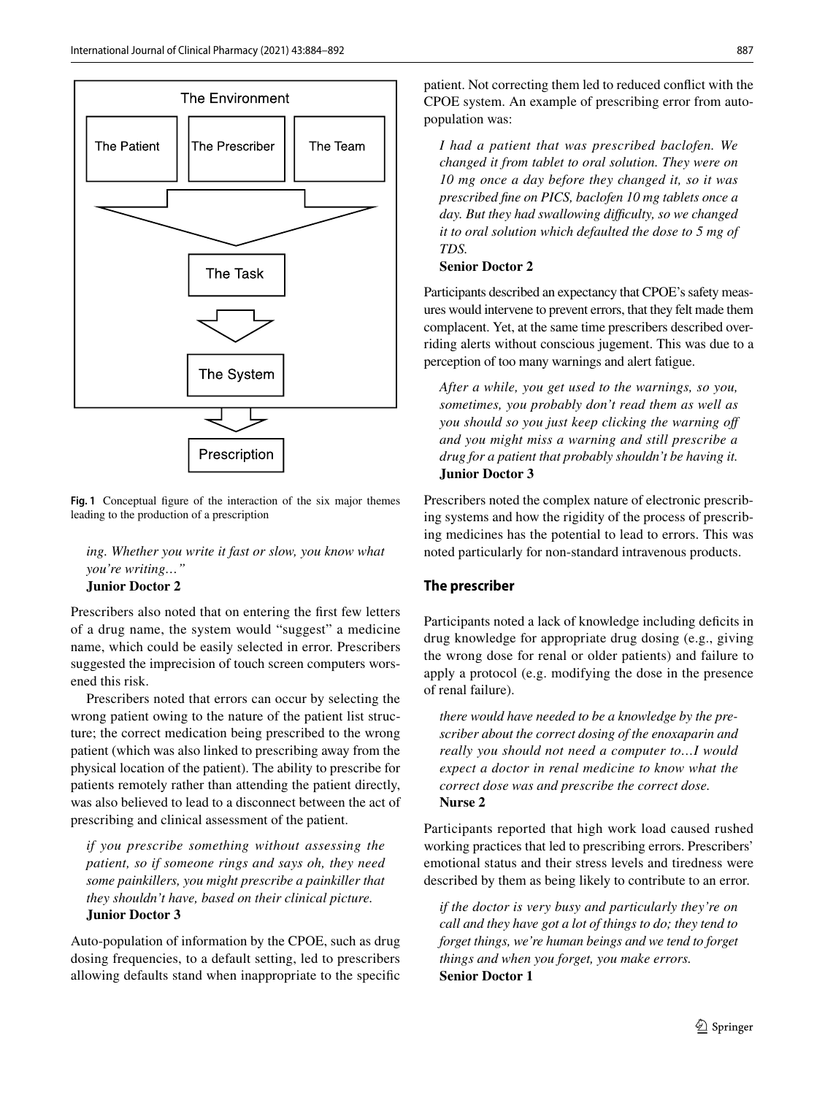

<span id="page-3-0"></span>**Fig. 1** Conceptual fgure of the interaction of the six major themes leading to the production of a prescription

*ing. Whether you write it fast or slow, you know what you're writing…"* **Junior Doctor 2**

Prescribers also noted that on entering the frst few letters of a drug name, the system would "suggest" a medicine name, which could be easily selected in error. Prescribers suggested the imprecision of touch screen computers worsened this risk.

Prescribers noted that errors can occur by selecting the wrong patient owing to the nature of the patient list structure; the correct medication being prescribed to the wrong patient (which was also linked to prescribing away from the physical location of the patient). The ability to prescribe for patients remotely rather than attending the patient directly, was also believed to lead to a disconnect between the act of prescribing and clinical assessment of the patient.

*if you prescribe something without assessing the patient, so if someone rings and says oh, they need some painkillers, you might prescribe a painkiller that they shouldn't have, based on their clinical picture.* **Junior Doctor 3**

Auto-population of information by the CPOE, such as drug dosing frequencies, to a default setting, led to prescribers allowing defaults stand when inappropriate to the specifc patient. Not correcting them led to reduced confict with the CPOE system. An example of prescribing error from autopopulation was:

*I had a patient that was prescribed baclofen. We changed it from tablet to oral solution. They were on 10 mg once a day before they changed it, so it was prescribed fne on PICS, baclofen 10 mg tablets once a day. But they had swallowing difculty, so we changed it to oral solution which defaulted the dose to 5 mg of TDS.*

#### **Senior Doctor 2**

Participants described an expectancy that CPOE's safety measures would intervene to prevent errors, that they felt made them complacent. Yet, at the same time prescribers described overriding alerts without conscious jugement. This was due to a perception of too many warnings and alert fatigue.

*After a while, you get used to the warnings, so you, sometimes, you probably don't read them as well as you should so you just keep clicking the warning off and you might miss a warning and still prescribe a drug for a patient that probably shouldn't be having it.* **Junior Doctor 3**

Prescribers noted the complex nature of electronic prescribing systems and how the rigidity of the process of prescribing medicines has the potential to lead to errors. This was noted particularly for non-standard intravenous products.

# **The prescriber**

Participants noted a lack of knowledge including deficits in drug knowledge for appropriate drug dosing (e.g., giving the wrong dose for renal or older patients) and failure to apply a protocol (e.g. modifying the dose in the presence of renal failure).

*there would have needed to be a knowledge by the prescriber about the correct dosing of the enoxaparin and really you should not need a computer to…I would expect a doctor in renal medicine to know what the correct dose was and prescribe the correct dose.* **Nurse 2**

Participants reported that high work load caused rushed working practices that led to prescribing errors. Prescribers' emotional status and their stress levels and tiredness were described by them as being likely to contribute to an error.

*if the doctor is very busy and particularly they're on call and they have got a lot of things to do; they tend to forget things, we're human beings and we tend to forget things and when you forget, you make errors.* **Senior Doctor 1**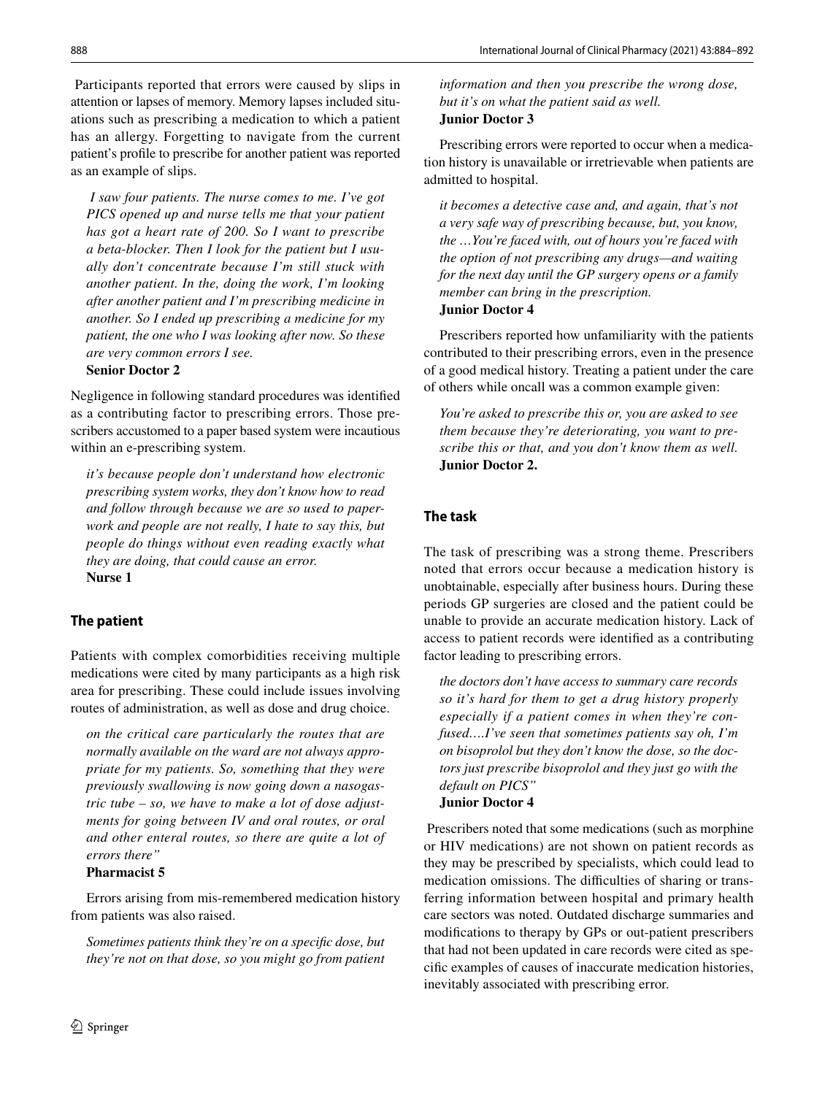Participants reported that errors were caused by slips in attention or lapses of memory. Memory lapses included situations such as prescribing a medication to which a patient has an allergy. Forgetting to navigate from the current patient's profle to prescribe for another patient was reported as an example of slips.

 *I saw four patients. The nurse comes to me. I've got PICS opened up and nurse tells me that your patient has got a heart rate of 200. So I want to prescribe a beta-blocker. Then I look for the patient but I usually don't concentrate because I'm still stuck with another patient. In the, doing the work, I'm looking after another patient and I'm prescribing medicine in another. So I ended up prescribing a medicine for my patient, the one who I was looking after now. So these are very common errors I see.*

#### **Senior Doctor 2**

Negligence in following standard procedures was identifed as a contributing factor to prescribing errors. Those prescribers accustomed to a paper based system were incautious within an e-prescribing system.

*it's because people don't understand how electronic prescribing system works, they don't know how to read and follow through because we are so used to paperwork and people are not really, I hate to say this, but people do things without even reading exactly what they are doing, that could cause an error.* **Nurse 1**

# **The patient**

Patients with complex comorbidities receiving multiple medications were cited by many participants as a high risk area for prescribing. These could include issues involving routes of administration, as well as dose and drug choice.

*on the critical care particularly the routes that are normally available on the ward are not always appropriate for my patients. So, something that they were previously swallowing is now going down a nasogastric tube – so, we have to make a lot of dose adjustments for going between IV and oral routes, or oral and other enteral routes, so there are quite a lot of errors there"*

#### **Pharmacist 5**

Errors arising from mis-remembered medication history from patients was also raised.

*Sometimes patients think they're on a specifc dose, but they're not on that dose, so you might go from patient*  *information and then you prescribe the wrong dose, but it's on what the patient said as well.* **Junior Doctor 3**

Prescribing errors were reported to occur when a medication history is unavailable or irretrievable when patients are admitted to hospital.

*it becomes a detective case and, and again, that's not a very safe way of prescribing because, but, you know, the …You're faced with, out of hours you're faced with the option of not prescribing any drugs—and waiting for the next day until the GP surgery opens or a family member can bring in the prescription.* **Junior Doctor 4**

Prescribers reported how unfamiliarity with the patients contributed to their prescribing errors, even in the presence of a good medical history. Treating a patient under the care of others while oncall was a common example given:

*You're asked to prescribe this or, you are asked to see them because they're deteriorating, you want to prescribe this or that, and you don't know them as well.*  **Junior Doctor 2.**

### **The task**

The task of prescribing was a strong theme. Prescribers noted that errors occur because a medication history is unobtainable, especially after business hours. During these periods GP surgeries are closed and the patient could be unable to provide an accurate medication history. Lack of access to patient records were identifed as a contributing factor leading to prescribing errors.

*the doctors don't have access to summary care records so it's hard for them to get a drug history properly especially if a patient comes in when they're confused….I've seen that sometimes patients say oh, I'm on bisoprolol but they don't know the dose, so the doctors just prescribe bisoprolol and they just go with the default on PICS"*

#### **Junior Doctor 4**

 Prescribers noted that some medications (such as morphine or HIV medications) are not shown on patient records as they may be prescribed by specialists, which could lead to medication omissions. The difficulties of sharing or transferring information between hospital and primary health care sectors was noted. Outdated discharge summaries and modifcations to therapy by GPs or out-patient prescribers that had not been updated in care records were cited as specifc examples of causes of inaccurate medication histories, inevitably associated with prescribing error.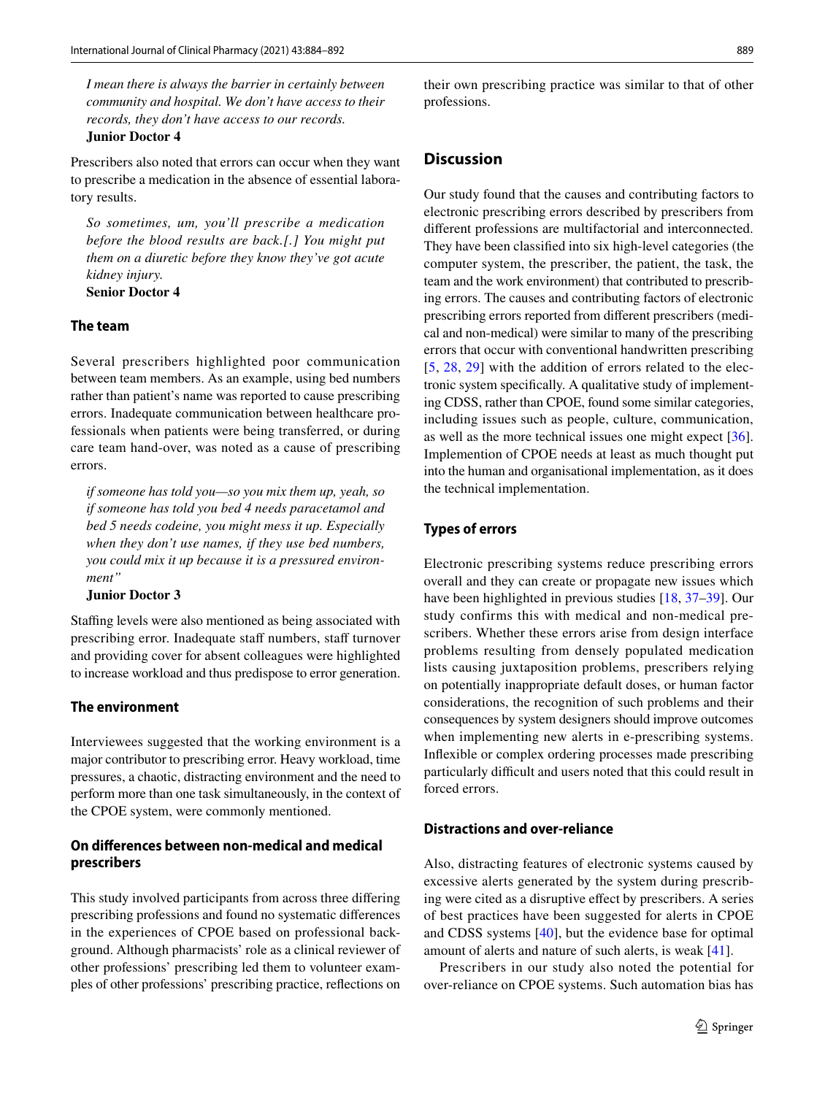*I mean there is always the barrier in certainly between community and hospital. We don't have access to their records, they don't have access to our records.* **Junior Doctor 4**

Prescribers also noted that errors can occur when they want to prescribe a medication in the absence of essential laboratory results.

*So sometimes, um, you'll prescribe a medication before the blood results are back.[.] You might put them on a diuretic before they know they've got acute kidney injury.*

**Senior Doctor 4**

### **The team**

Several prescribers highlighted poor communication between team members. As an example, using bed numbers rather than patient's name was reported to cause prescribing errors. Inadequate communication between healthcare professionals when patients were being transferred, or during care team hand-over, was noted as a cause of prescribing errors.

*if someone has told you—so you mix them up, yeah, so if someone has told you bed 4 needs paracetamol and bed 5 needs codeine, you might mess it up. Especially when they don't use names, if they use bed numbers, you could mix it up because it is a pressured environment"*

#### **Junior Doctor 3**

Staffing levels were also mentioned as being associated with prescribing error. Inadequate staff numbers, staff turnover and providing cover for absent colleagues were highlighted to increase workload and thus predispose to error generation.

#### **The environment**

Interviewees suggested that the working environment is a major contributor to prescribing error. Heavy workload, time pressures, a chaotic, distracting environment and the need to perform more than one task simultaneously, in the context of the CPOE system, were commonly mentioned.

# **On diferences between non‑medical and medical prescribers**

This study involved participants from across three difering prescribing professions and found no systematic diferences in the experiences of CPOE based on professional background. Although pharmacists' role as a clinical reviewer of other professions' prescribing led them to volunteer examples of other professions' prescribing practice, refections on

their own prescribing practice was similar to that of other professions.

# **Discussion**

Our study found that the causes and contributing factors to electronic prescribing errors described by prescribers from diferent professions are multifactorial and interconnected. They have been classifed into six high-level categories (the computer system, the prescriber, the patient, the task, the team and the work environment) that contributed to prescribing errors. The causes and contributing factors of electronic prescribing errors reported from diferent prescribers (medical and non-medical) were similar to many of the prescribing errors that occur with conventional handwritten prescribing [[5,](#page-7-4) [28,](#page-8-2) [29\]](#page-8-9) with the addition of errors related to the electronic system specifcally. A qualitative study of implementing CDSS, rather than CPOE, found some similar categories, including issues such as people, culture, communication, as well as the more technical issues one might expect [\[36](#page-8-10)]. Implemention of CPOE needs at least as much thought put into the human and organisational implementation, as it does the technical implementation.

#### **Types of errors**

Electronic prescribing systems reduce prescribing errors overall and they can create or propagate new issues which have been highlighted in previous studies [[18,](#page-7-11) [37–](#page-8-11)[39](#page-8-12)]. Our study confirms this with medical and non-medical prescribers. Whether these errors arise from design interface problems resulting from densely populated medication lists causing juxtaposition problems, prescribers relying on potentially inappropriate default doses, or human factor considerations, the recognition of such problems and their consequences by system designers should improve outcomes when implementing new alerts in e-prescribing systems. Infexible or complex ordering processes made prescribing particularly difficult and users noted that this could result in forced errors.

#### **Distractions and over‑reliance**

Also, distracting features of electronic systems caused by excessive alerts generated by the system during prescribing were cited as a disruptive efect by prescribers. A series of best practices have been suggested for alerts in CPOE and CDSS systems [[40\]](#page-8-13), but the evidence base for optimal amount of alerts and nature of such alerts, is weak [[41](#page-8-14)].

Prescribers in our study also noted the potential for over-reliance on CPOE systems. Such automation bias has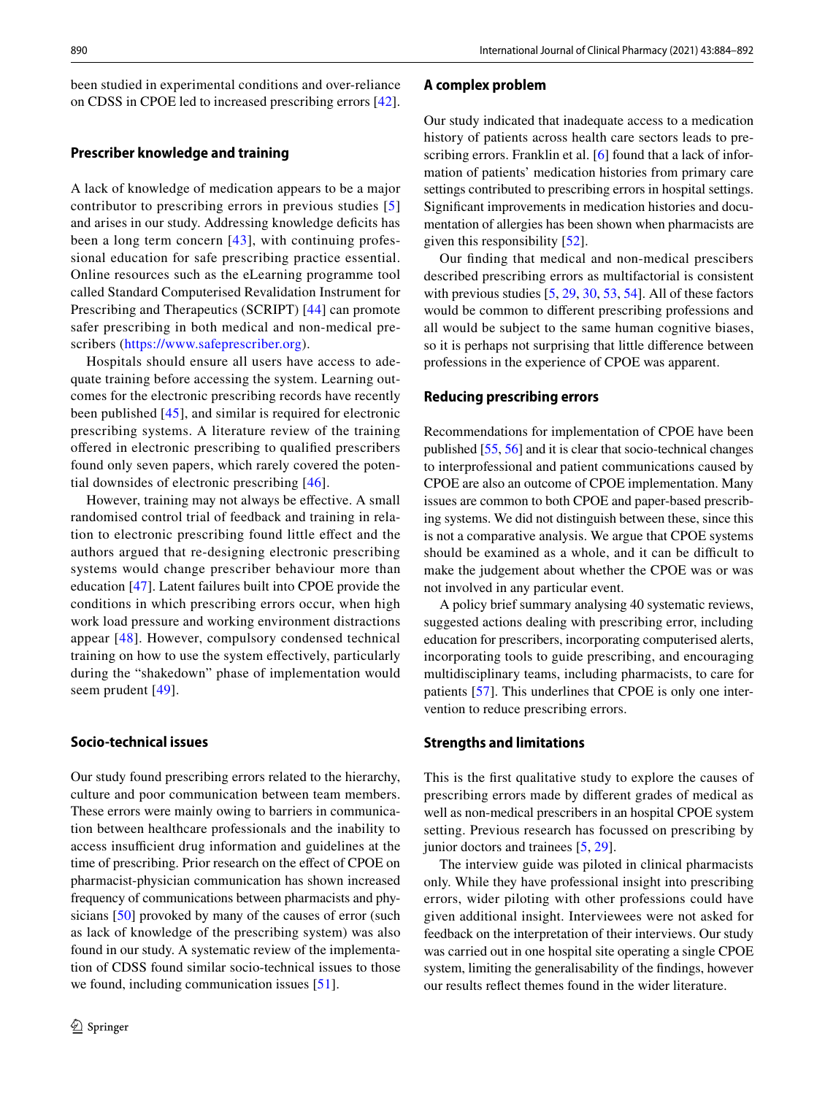been studied in experimental conditions and over-reliance on CDSS in CPOE led to increased prescribing errors [\[42](#page-8-15)].

#### **Prescriber knowledge and training**

A lack of knowledge of medication appears to be a major contributor to prescribing errors in previous studies [[5\]](#page-7-4) and arises in our study. Addressing knowledge deficits has been a long term concern [[43\]](#page-8-16), with continuing professional education for safe prescribing practice essential. Online resources such as the eLearning programme tool called Standard Computerised Revalidation Instrument for Prescribing and Therapeutics (SCRIPT) [[44](#page-8-17)] can promote safer prescribing in both medical and non-medical prescribers ([https://www.safeprescriber.org\)](https://www.safeprescriber.org).

Hospitals should ensure all users have access to adequate training before accessing the system. Learning outcomes for the electronic prescribing records have recently been published [[45\]](#page-8-18), and similar is required for electronic prescribing systems. A literature review of the training ofered in electronic prescribing to qualifed prescribers found only seven papers, which rarely covered the potential downsides of electronic prescribing [[46](#page-8-19)].

However, training may not always be efective. A small randomised control trial of feedback and training in relation to electronic prescribing found little efect and the authors argued that re-designing electronic prescribing systems would change prescriber behaviour more than education [\[47\]](#page-8-20). Latent failures built into CPOE provide the conditions in which prescribing errors occur, when high work load pressure and working environment distractions appear [[48\]](#page-8-21). However, compulsory condensed technical training on how to use the system efectively, particularly during the "shakedown" phase of implementation would seem prudent [[49](#page-8-22)].

#### **Socio‑technical issues**

Our study found prescribing errors related to the hierarchy, culture and poor communication between team members. These errors were mainly owing to barriers in communication between healthcare professionals and the inability to access insufficient drug information and guidelines at the time of prescribing. Prior research on the efect of CPOE on pharmacist-physician communication has shown increased frequency of communications between pharmacists and phy-sicians [[50\]](#page-8-23) provoked by many of the causes of error (such as lack of knowledge of the prescribing system) was also found in our study. A systematic review of the implementation of CDSS found similar socio-technical issues to those we found, including communication issues [\[51](#page-8-24)].

#### **A complex problem**

Our study indicated that inadequate access to a medication history of patients across health care sectors leads to prescribing errors. Franklin et al. [[6\]](#page-7-19) found that a lack of information of patients' medication histories from primary care settings contributed to prescribing errors in hospital settings. Signifcant improvements in medication histories and documentation of allergies has been shown when pharmacists are given this responsibility [[52\]](#page-8-25).

Our fnding that medical and non-medical prescibers described prescribing errors as multifactorial is consistent with previous studies [\[5](#page-7-4), [29](#page-8-9), [30,](#page-8-3) [53,](#page-8-26) [54](#page-8-27)]. All of these factors would be common to diferent prescribing professions and all would be subject to the same human cognitive biases, so it is perhaps not surprising that little diference between professions in the experience of CPOE was apparent.

#### **Reducing prescribing errors**

Recommendations for implementation of CPOE have been published [\[55,](#page-8-28) [56](#page-8-29)] and it is clear that socio-technical changes to interprofessional and patient communications caused by CPOE are also an outcome of CPOE implementation. Many issues are common to both CPOE and paper-based prescribing systems. We did not distinguish between these, since this is not a comparative analysis. We argue that CPOE systems should be examined as a whole, and it can be difficult to make the judgement about whether the CPOE was or was not involved in any particular event.

A policy brief summary analysing 40 systematic reviews, suggested actions dealing with prescribing error, including education for prescribers, incorporating computerised alerts, incorporating tools to guide prescribing, and encouraging multidisciplinary teams, including pharmacists, to care for patients [[57\]](#page-8-30). This underlines that CPOE is only one intervention to reduce prescribing errors.

#### **Strengths and limitations**

This is the frst qualitative study to explore the causes of prescribing errors made by diferent grades of medical as well as non-medical prescribers in an hospital CPOE system setting. Previous research has focussed on prescribing by junior doctors and trainees [\[5](#page-7-4), [29](#page-8-9)].

The interview guide was piloted in clinical pharmacists only. While they have professional insight into prescribing errors, wider piloting with other professions could have given additional insight. Interviewees were not asked for feedback on the interpretation of their interviews. Our study was carried out in one hospital site operating a single CPOE system, limiting the generalisability of the fndings, however our results refect themes found in the wider literature.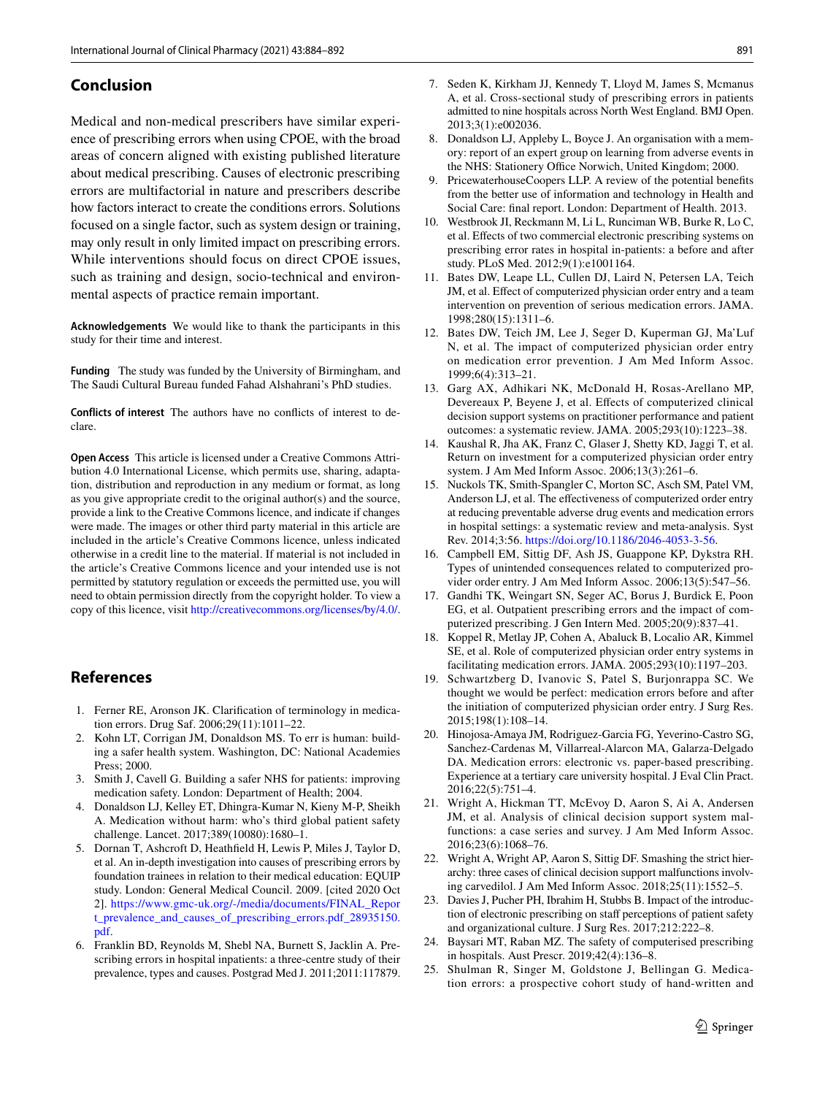# **Conclusion**

Medical and non-medical prescribers have similar experience of prescribing errors when using CPOE, with the broad areas of concern aligned with existing published literature about medical prescribing. Causes of electronic prescribing errors are multifactorial in nature and prescribers describe how factors interact to create the conditions errors. Solutions focused on a single factor, such as system design or training, may only result in only limited impact on prescribing errors. While interventions should focus on direct CPOE issues, such as training and design, socio-technical and environmental aspects of practice remain important.

**Acknowledgements** We would like to thank the participants in this study for their time and interest.

**Funding** The study was funded by the University of Birmingham, and The Saudi Cultural Bureau funded Fahad Alshahrani's PhD studies.

**Conflicts of interest** The authors have no conficts of interest to declare.

**Open Access** This article is licensed under a Creative Commons Attribution 4.0 International License, which permits use, sharing, adaptation, distribution and reproduction in any medium or format, as long as you give appropriate credit to the original author(s) and the source, provide a link to the Creative Commons licence, and indicate if changes were made. The images or other third party material in this article are included in the article's Creative Commons licence, unless indicated otherwise in a credit line to the material. If material is not included in the article's Creative Commons licence and your intended use is not permitted by statutory regulation or exceeds the permitted use, you will need to obtain permission directly from the copyright holder. To view a copy of this licence, visit <http://creativecommons.org/licenses/by/4.0/>.

### **References**

- <span id="page-7-0"></span>1. Ferner RE, Aronson JK. Clarifcation of terminology in medication errors. Drug Saf. 2006;29(11):1011–22.
- <span id="page-7-1"></span>2. Kohn LT, Corrigan JM, Donaldson MS. To err is human: building a safer health system. Washington, DC: National Academies Press; 2000.
- <span id="page-7-2"></span>3. Smith J, Cavell G. Building a safer NHS for patients: improving medication safety. London: Department of Health; 2004.
- <span id="page-7-3"></span>4. Donaldson LJ, Kelley ET, Dhingra-Kumar N, Kieny M-P, Sheikh A. Medication without harm: who's third global patient safety challenge. Lancet. 2017;389(10080):1680–1.
- <span id="page-7-4"></span>5. Dornan T, Ashcroft D, Heathfeld H, Lewis P, Miles J, Taylor D, et al. An in-depth investigation into causes of prescribing errors by foundation trainees in relation to their medical education: EQUIP study. London: General Medical Council. 2009. [cited 2020 Oct 2]. [https://www.gmc-uk.org/-/media/documents/FINAL\\_Repor](https://www.gmc-uk.org/-/media/documents/FINAL_Report_prevalence_and_causes_of_prescribing_errors.pdf_28935150.pdf) [t\\_prevalence\\_and\\_causes\\_of\\_prescribing\\_errors.pdf\\_28935150.](https://www.gmc-uk.org/-/media/documents/FINAL_Report_prevalence_and_causes_of_prescribing_errors.pdf_28935150.pdf) [pdf](https://www.gmc-uk.org/-/media/documents/FINAL_Report_prevalence_and_causes_of_prescribing_errors.pdf_28935150.pdf).
- <span id="page-7-19"></span>6. Franklin BD, Reynolds M, Shebl NA, Burnett S, Jacklin A. Prescribing errors in hospital inpatients: a three-centre study of their prevalence, types and causes. Postgrad Med J. 2011;2011:117879.
- <span id="page-7-5"></span>7. Seden K, Kirkham JJ, Kennedy T, Lloyd M, James S, Mcmanus A, et al. Cross-sectional study of prescribing errors in patients admitted to nine hospitals across North West England. BMJ Open. 2013;3(1):e002036.
- <span id="page-7-6"></span>8. Donaldson LJ, Appleby L, Boyce J. An organisation with a memory: report of an expert group on learning from adverse events in the NHS: Stationery Office Norwich, United Kingdom; 2000.
- 9. PricewaterhouseCoopers LLP. A review of the potential benefts from the better use of information and technology in Health and Social Care: fnal report. London: Department of Health. 2013.
- <span id="page-7-7"></span>10. Westbrook JI, Reckmann M, Li L, Runciman WB, Burke R, Lo C, et al. Efects of two commercial electronic prescribing systems on prescribing error rates in hospital in-patients: a before and after study. PLoS Med. 2012;9(1):e1001164.
- <span id="page-7-8"></span>11. Bates DW, Leape LL, Cullen DJ, Laird N, Petersen LA, Teich JM, et al. Efect of computerized physician order entry and a team intervention on prevention of serious medication errors. JAMA. 1998;280(15):1311–6.
- 12. Bates DW, Teich JM, Lee J, Seger D, Kuperman GJ, Ma'Luf N, et al. The impact of computerized physician order entry on medication error prevention. J Am Med Inform Assoc. 1999;6(4):313–21.
- 13. Garg AX, Adhikari NK, McDonald H, Rosas-Arellano MP, Devereaux P, Beyene J, et al. Efects of computerized clinical decision support systems on practitioner performance and patient outcomes: a systematic review. JAMA. 2005;293(10):1223–38.
- 14. Kaushal R, Jha AK, Franz C, Glaser J, Shetty KD, Jaggi T, et al. Return on investment for a computerized physician order entry system. J Am Med Inform Assoc. 2006;13(3):261–6.
- <span id="page-7-9"></span>15. Nuckols TK, Smith-Spangler C, Morton SC, Asch SM, Patel VM, Anderson LJ, et al. The effectiveness of computerized order entry at reducing preventable adverse drug events and medication errors in hospital settings: a systematic review and meta-analysis. Syst Rev. 2014;3:56.<https://doi.org/10.1186/2046-4053-3-56>.
- <span id="page-7-10"></span>16. Campbell EM, Sittig DF, Ash JS, Guappone KP, Dykstra RH. Types of unintended consequences related to computerized provider order entry. J Am Med Inform Assoc. 2006;13(5):547–56.
- 17. Gandhi TK, Weingart SN, Seger AC, Borus J, Burdick E, Poon EG, et al. Outpatient prescribing errors and the impact of computerized prescribing. J Gen Intern Med. 2005;20(9):837–41.
- <span id="page-7-11"></span>18. Koppel R, Metlay JP, Cohen A, Abaluck B, Localio AR, Kimmel SE, et al. Role of computerized physician order entry systems in facilitating medication errors. JAMA. 2005;293(10):1197–203.
- <span id="page-7-12"></span>19. Schwartzberg D, Ivanovic S, Patel S, Burjonrappa SC. We thought we would be perfect: medication errors before and after the initiation of computerized physician order entry. J Surg Res. 2015;198(1):108–14.
- <span id="page-7-13"></span>20. Hinojosa-Amaya JM, Rodriguez-Garcia FG, Yeverino-Castro SG, Sanchez-Cardenas M, Villarreal-Alarcon MA, Galarza-Delgado DA. Medication errors: electronic vs. paper-based prescribing. Experience at a tertiary care university hospital. J Eval Clin Pract. 2016;22(5):751–4.
- <span id="page-7-14"></span>21. Wright A, Hickman TT, McEvoy D, Aaron S, Ai A, Andersen JM, et al. Analysis of clinical decision support system malfunctions: a case series and survey. J Am Med Inform Assoc. 2016;23(6):1068–76.
- <span id="page-7-15"></span>22. Wright A, Wright AP, Aaron S, Sittig DF. Smashing the strict hierarchy: three cases of clinical decision support malfunctions involving carvedilol. J Am Med Inform Assoc. 2018;25(11):1552–5.
- <span id="page-7-16"></span>23. Davies J, Pucher PH, Ibrahim H, Stubbs B. Impact of the introduction of electronic prescribing on staff perceptions of patient safety and organizational culture. J Surg Res. 2017;212:222–8.
- <span id="page-7-17"></span>24. Baysari MT, Raban MZ. The safety of computerised prescribing in hospitals. Aust Prescr. 2019;42(4):136–8.
- <span id="page-7-18"></span>25. Shulman R, Singer M, Goldstone J, Bellingan G. Medication errors: a prospective cohort study of hand-written and